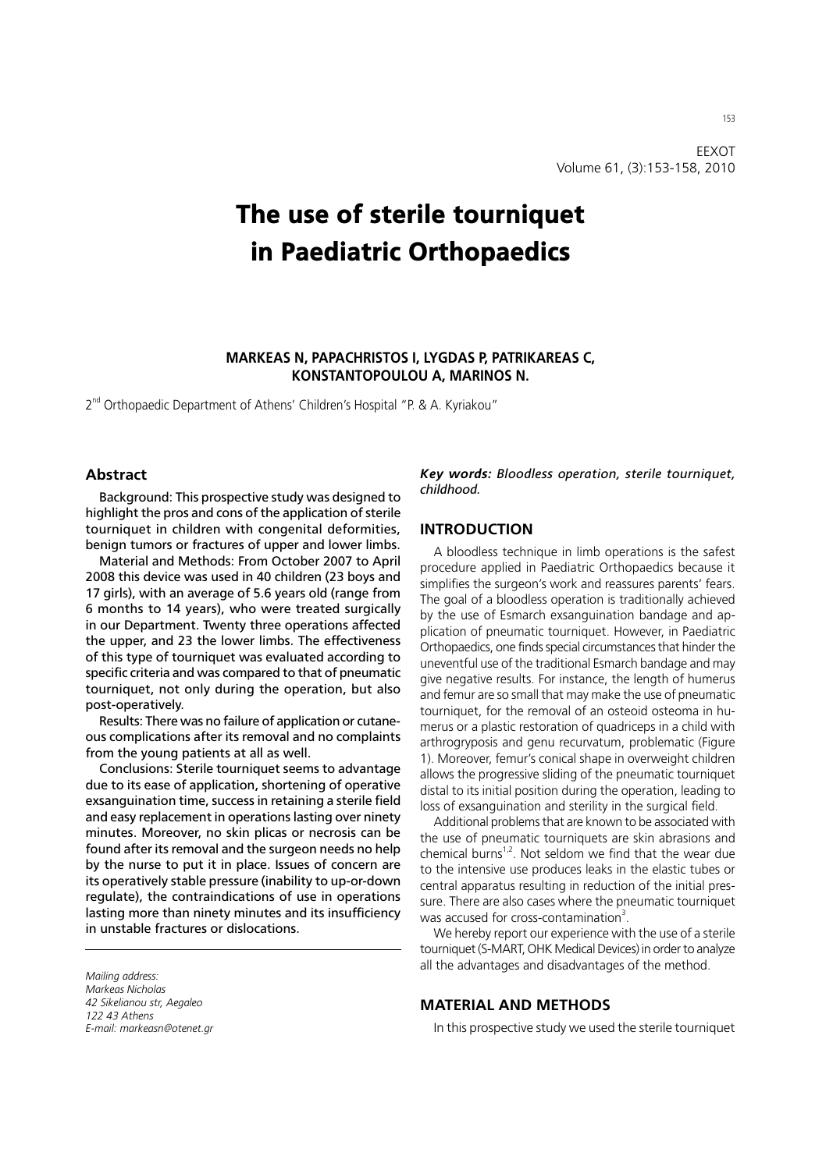EEXOT Volume 61, (3):153-158, 2010

# The use of sterile tourniquet in Paediatric Orthopaedics

# **MARKEAS N, PAPACHRISTOS I, LYGDAS P, PATRIKAREAS C, KONSTANTOPOULOU A, MARINOS N.**

2<sup>nd</sup> Orthopaedic Department of Athens' Children's Hospital "P. & A. Kyriakou"

#### **Abstract**

Background: This prospective study was designed to highlight the pros and cons of the application of sterile tourniquet in children with congenital deformities, benign tumors or fractures of upper and lower limbs.

Material and Methods: From October 2007 to April 2008 this device was used in 40 children (23 boys and 17 girls), with an average of 5.6 years old (range from 6 months to 14 years), who were treated surgically in our Department. Twenty three operations affected the upper, and 23 the lower limbs. The effectiveness of this type of tourniquet was evaluated according to specific criteria and was compared to that of pneumatic tourniquet, not only during the operation, but also post-operatively.

Results: There was no failure of application or cutaneous complications after its removal and no complaints from the young patients at all as well.

Conclusions: Sterile tourniquet seems to advantage due to its ease of application, shortening of operative exsanguination time, success in retaining a sterile field and easy replacement in operations lasting over ninety minutes. Moreover, no skin plicas or necrosis can be found after its removal and the surgeon needs no help by the nurse to put it in place. Issues of concern are its operatively stable pressure (inability to up-or-down regulate), the contraindications of use in operations lasting more than ninety minutes and its insufficiency in unstable fractures or dislocations.

*Mailing address: Markeas Nicholas 42 Sikelianou str, Aegaleo 122 43 Athens E-mail: markeasn@otenet.gr* *Key words: Bloodless operation, sterile tourniquet, childhood.*

#### **INTRODUCTION**

A bloodless technique in limb operations is the safest procedure applied in Paediatric Orthopaedics because it simplifies the surgeon's work and reassures parents' fears. The goal of a bloodless operation is traditionally achieved by the use of Esmarch exsanguination bandage and application of pneumatic tourniquet. However, in Paediatric Orthopaedics, one finds special circumstances that hinder the uneventful use of the traditional Esmarch bandage and may give negative results. For instance, the length of humerus and femur are so small that may make the use of pneumatic tourniquet, for the removal of an osteoid osteoma in humerus or a plastic restoration of quadriceps in a child with arthrogryposis and genu recurvatum, problematic (Figure 1). Moreover, femur's conical shape in overweight children allows the progressive sliding of the pneumatic tourniquet distal to its initial position during the operation, leading to loss of exsanguination and sterility in the surgical field.

Additional problems that are known to be associated with the use of pneumatic tourniquets are skin abrasions and chemical burns<sup>1,2</sup>. Not seldom we find that the wear due to the intensive use produces leaks in the elastic tubes or central apparatus resulting in reduction of the initial pressure. There are also cases where the pneumatic tourniquet was accused for cross-contamination<sup>3</sup>.

We hereby report our experience with the use of a sterile tourniquet (S-MART, OHK Medical Devices) in order to analyze all the advantages and disadvantages of the method.

#### **MATERIAL AND METHODS**

In this prospective study we used the sterile tourniquet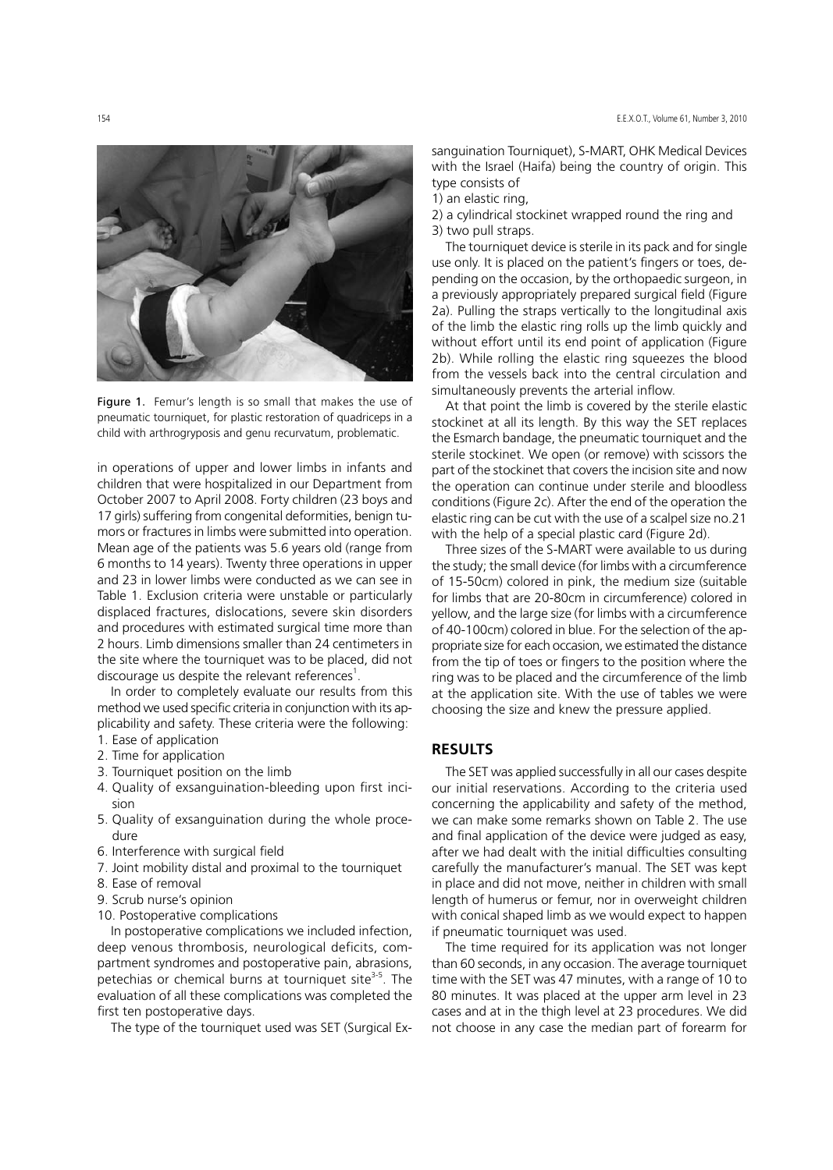

Figure 1. Femur's length is so small that makes the use of pneumatic tourniquet, for plastic restoration of quadriceps in a child with arthrogryposis and genu recurvatum, problematic.

in operations of upper and lower limbs in infants and children that were hospitalized in our Department from October 2007 to April 2008. Forty children (23 boys and 17 girls) suffering from congenital deformities, benign tumors or fractures in limbs were submitted into operation. Mean age of the patients was 5.6 years old (range from 6 months to 14 years). Twenty three operations in upper and 23 in lower limbs were conducted as we can see in Table 1. Exclusion criteria were unstable or particularly displaced fractures, dislocations, severe skin disorders and procedures with estimated surgical time more than 2 hours. Limb dimensions smaller than 24 centimeters in the site where the tourniquet was to be placed, did not discourage us despite the relevant references<sup>1</sup>.

In order to completely evaluate our results from this method we used specific criteria in conjunction with its applicability and safety. These criteria were the following:

- 1. Ease of application
- 2. Time for application
- 3. Tourniquet position on the limb
- 4. Quality of exsanguination-bleeding upon first incision
- 5. Quality of exsanguination during the whole procedure
- 6. Interference with surgical field
- 7. Joint mobility distal and proximal to the tourniquet
- 8. Ease of removal
- 9. Scrub nurse's opinion
- 10. Postoperative complications

In postoperative complications we included infection, deep venous thrombosis, neurological deficits, compartment syndromes and postoperative pain, abrasions, petechias or chemical burns at tourniquet site $3-5$ . The evaluation of all these complications was completed the first ten postoperative days.

The type of the tourniquet used was SET (Surgical Ex-

sanguination Tourniquet), S-MART, OHK Medical Devices with the Israel (Haifa) being the country of origin. This type consists of

1) an elastic ring,

2) a cylindrical stockinet wrapped round the ring and 3) two pull straps.

The tourniquet device is sterile in its pack and for single use only. It is placed on the patient's fingers or toes, depending on the occasion, by the orthopaedic surgeon, in a previously appropriately prepared surgical field (Figure 2a). Pulling the straps vertically to the longitudinal axis of the limb the elastic ring rolls up the limb quickly and without effort until its end point of application (Figure 2b). While rolling the elastic ring squeezes the blood from the vessels back into the central circulation and simultaneously prevents the arterial inflow.

At that point the limb is covered by the sterile elastic stockinet at all its length. By this way the SET replaces the Esmarch bandage, the pneumatic tourniquet and the sterile stockinet. We open (or remove) with scissors the part of the stockinet that covers the incision site and now the operation can continue under sterile and bloodless conditions (Figure 2c). After the end of the operation the elastic ring can be cut with the use of a scalpel size no.21 with the help of a special plastic card (Figure 2d).

Three sizes of the S-MART were available to us during the study; the small device (for limbs with a circumference of 15-50cm) colored in pink, the medium size (suitable for limbs that are 20-80cm in circumference) colored in yellow, and the large size (for limbs with a circumference of 40-100cm) colored in blue. For the selection of the appropriate size for each occasion, we estimated the distance from the tip of toes or fingers to the position where the ring was to be placed and the circumference of the limb at the application site. With the use of tables we were choosing the size and knew the pressure applied.

### **RESULTS**

The SET was applied successfully in all our cases despite our initial reservations. According to the criteria used concerning the applicability and safety of the method, we can make some remarks shown on Table 2. The use and final application of the device were judged as easy, after we had dealt with the initial difficulties consulting carefully the manufacturer's manual. The SET was kept in place and did not move, neither in children with small length of humerus or femur, nor in overweight children with conical shaped limb as we would expect to happen if pneumatic tourniquet was used.

The time required for its application was not longer than 60 seconds, in any occasion. The average tourniquet time with the SET was 47 minutes, with a range of 10 to 80 minutes. It was placed at the upper arm level in 23 cases and at in the thigh level at 23 procedures. We did not choose in any case the median part of forearm for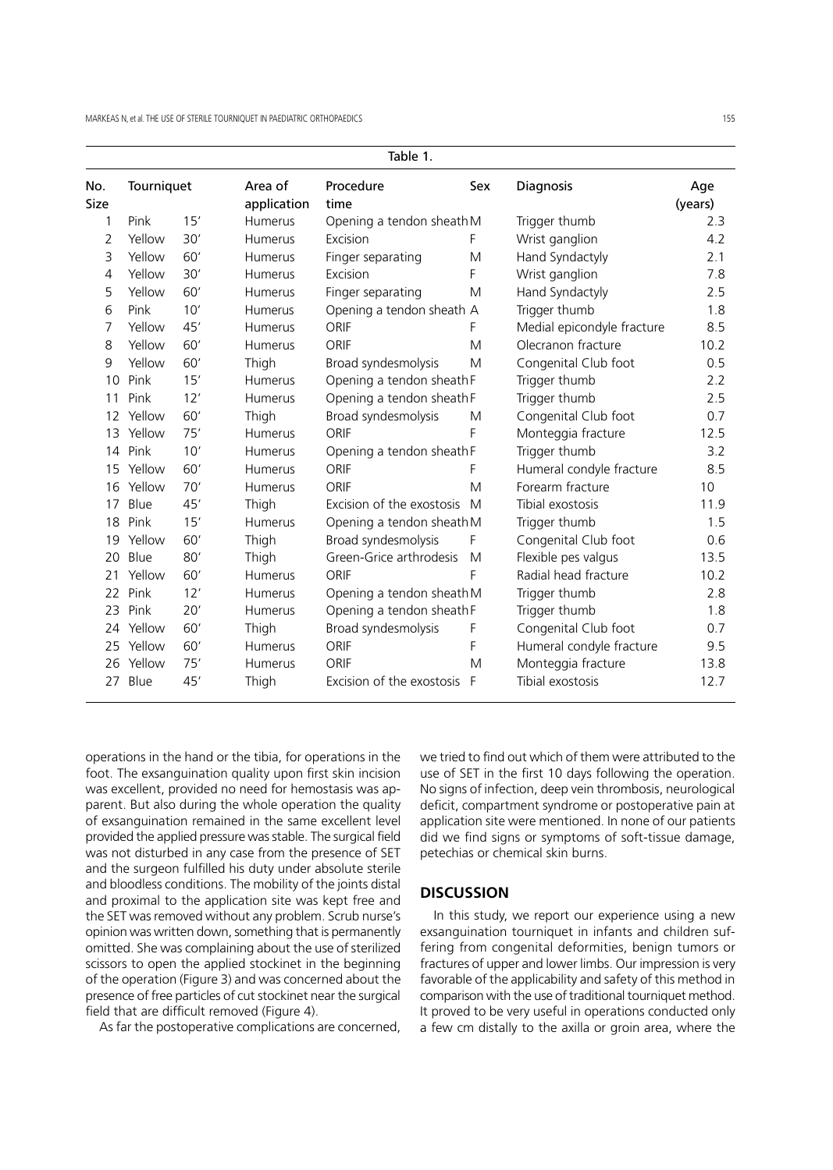|                    | Table 1.   |     |                        |                           |     |                            |                |
|--------------------|------------|-----|------------------------|---------------------------|-----|----------------------------|----------------|
| No.<br><b>Size</b> | Tourniquet |     | Area of<br>application | Procedure<br>time         | Sex | <b>Diagnosis</b>           | Age<br>(years) |
| 1                  | Pink       | 15' | Humerus                | Opening a tendon sheath M |     | Trigger thumb              | 2.3            |
| 2                  | Yellow     | 30' | Humerus                | Excision                  | F   | Wrist ganglion             | 4.2            |
| 3                  | Yellow     | 60' | Humerus                | Finger separating         | M   | Hand Syndactyly            | 2.1            |
| 4                  | Yellow     | 30' | Humerus                | Excision                  | F   | Wrist ganglion             | 7.8            |
| 5                  | Yellow     | 60' | Humerus                | Finger separating         | M   | Hand Syndactyly            | 2.5            |
| 6                  | Pink       | 10' | Humerus                | Opening a tendon sheath A |     | Trigger thumb              | 1.8            |
| 7                  | Yellow     | 45' | Humerus                | <b>ORIF</b>               | F   | Medial epicondyle fracture | 8.5            |
| 8                  | Yellow     | 60' | Humerus                | <b>ORIF</b>               | M   | Olecranon fracture         | 10.2           |
| 9                  | Yellow     | 60' | Thigh                  | Broad syndesmolysis       | M   | Congenital Club foot       | 0.5            |
| 10                 | Pink       | 15' | Humerus                | Opening a tendon sheath F |     | Trigger thumb              | 2.2            |
| 11                 | Pink       | 12' | Humerus                | Opening a tendon sheath F |     | Trigger thumb              | 2.5            |
| 12 <sup>2</sup>    | Yellow     | 60' | Thigh                  | Broad syndesmolysis       | M   | Congenital Club foot       | 0.7            |
| 13                 | Yellow     | 75' | Humerus                | ORIF                      | F   | Monteggia fracture         | 12.5           |
| 14                 | Pink       | 10' | Humerus                | Opening a tendon sheath F |     | Trigger thumb              | 3.2            |
| 15                 | Yellow     | 60' | Humerus                | <b>ORIF</b>               | F   | Humeral condyle fracture   | 8.5            |
| 16                 | Yellow     | 70' | Humerus                | ORIF                      | M   | Forearm fracture           | 10             |
| 17                 | Blue       | 45' | Thigh                  | Excision of the exostosis | M   | Tibial exostosis           | 11.9           |
| 18                 | Pink       | 15' | Humerus                | Opening a tendon sheath M |     | Trigger thumb              | 1.5            |
| 19                 | Yellow     | 60' | Thigh                  | Broad syndesmolysis       | F   | Congenital Club foot       | 0.6            |
| 20                 | Blue       | 80' | Thigh                  | Green-Grice arthrodesis   | M   | Flexible pes valgus        | 13.5           |
| 21                 | Yellow     | 60' | Humerus                | ORIF                      | F   | Radial head fracture       | 10.2           |
| 22                 | Pink       | 12' | Humerus                | Opening a tendon sheath M |     | Trigger thumb              | 2.8            |
| 23                 | Pink       | 20' | Humerus                | Opening a tendon sheath F |     | Trigger thumb              | 1.8            |
| 24                 | Yellow     | 60' | Thigh                  | Broad syndesmolysis       | F   | Congenital Club foot       | 0.7            |
| 25                 | Yellow     | 60' | Humerus                | ORIF                      | F   | Humeral condyle fracture   | 9.5            |
| 26                 | Yellow     | 75' | Humerus                | <b>ORIF</b>               | M   | Monteggia fracture         | 13.8           |
|                    | 27 Blue    | 45' | Thigh                  | Excision of the exostosis | F   | Tibial exostosis           | 12.7           |

operations in the hand or the tibia, for operations in the foot. The exsanguination quality upon first skin incision was excellent, provided no need for hemostasis was apparent. But also during the whole operation the quality of exsanguination remained in the same excellent level provided the applied pressure was stable. The surgical field was not disturbed in any case from the presence of SET and the surgeon fulfilled his duty under absolute sterile and bloodless conditions. The mobility of the joints distal and proximal to the application site was kept free and the SET was removed without any problem. Scrub nurse's opinion was written down, something that is permanently omitted. She was complaining about the use of sterilized scissors to open the applied stockinet in the beginning of the operation (Figure 3) and was concerned about the presence of free particles of cut stockinet near the surgical field that are difficult removed (Figure 4).

As far the postoperative complications are concerned,

we tried to find out which of them were attributed to the use of SET in the first 10 days following the operation. No signs of infection, deep vein thrombosis, neurological deficit, compartment syndrome or postoperative pain at application site were mentioned. In none of our patients did we find signs or symptoms of soft-tissue damage, petechias or chemical skin burns.

# **DISCUSSION**

In this study, we report our experience using a new exsanguination tourniquet in infants and children suffering from congenital deformities, benign tumors or fractures of upper and lower limbs. Our impression is very favorable of the applicability and safety of this method in comparison with the use of traditional tourniquet method. It proved to be very useful in operations conducted only a few cm distally to the axilla or groin area, where the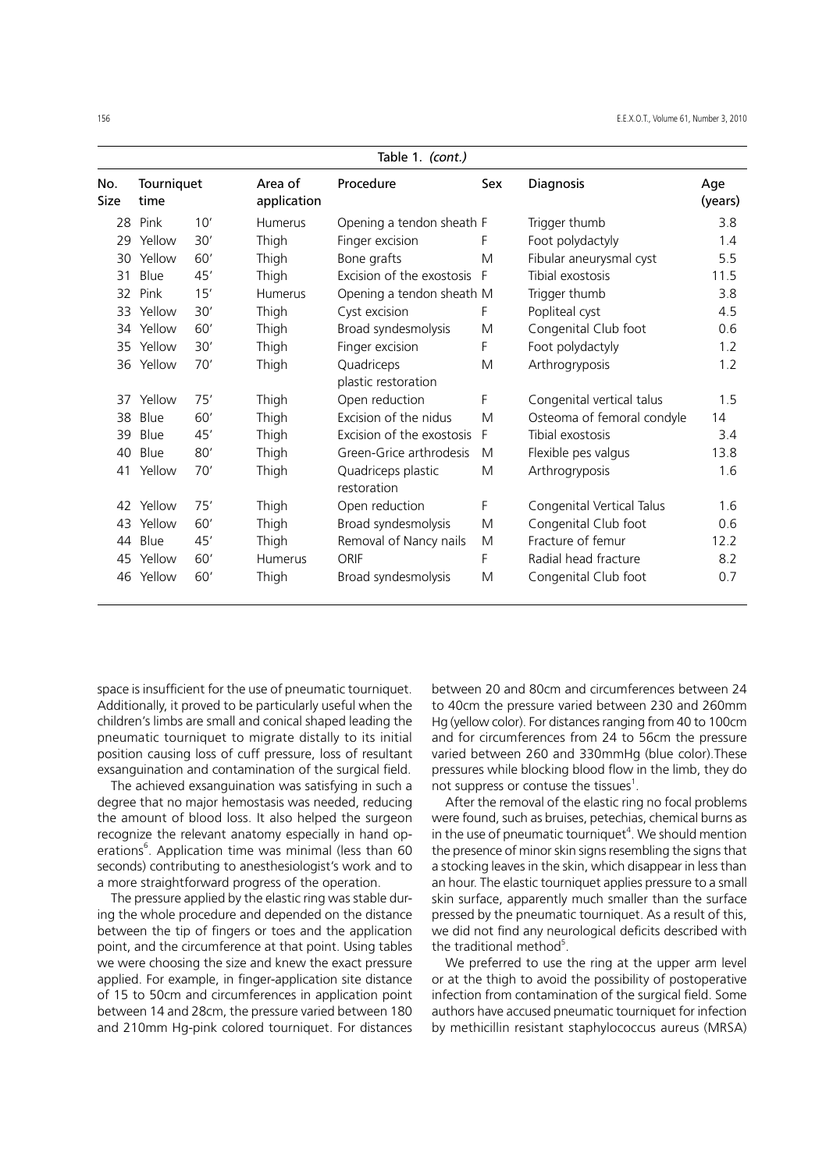|             |                    |     |                        | Table 1. (cont.)                  |     |                            |                |
|-------------|--------------------|-----|------------------------|-----------------------------------|-----|----------------------------|----------------|
| No.<br>Size | Tourniquet<br>time |     | Area of<br>application | Procedure                         | Sex | Diagnosis                  | Age<br>(years) |
| 28          | Pink               | 10' | <b>Humerus</b>         | Opening a tendon sheath F         |     | Trigger thumb              | 3.8            |
| 29          | Yellow             | 30' | Thigh                  | Finger excision                   | F   | Foot polydactyly           | 1.4            |
| 30          | Yellow             | 60' | Thigh                  | Bone grafts                       | M   | Fibular aneurysmal cyst    | 5.5            |
| 31          | Blue               | 45' | Thigh                  | Excision of the exostosis         | F   | Tibial exostosis           | 11.5           |
| 32          | Pink               | 15' | <b>Humerus</b>         | Opening a tendon sheath M         |     | Trigger thumb              | 3.8            |
| 33          | Yellow             | 30' | Thigh                  | Cyst excision                     | F   | Popliteal cyst             | 4.5            |
|             | 34 Yellow          | 60' | Thigh                  | Broad syndesmolysis               | M   | Congenital Club foot       | 0.6            |
|             | 35 Yellow          | 30' | Thigh                  | Finger excision                   | F   | Foot polydactyly           | 1.2            |
|             | 36 Yellow          | 70' | Thigh                  | Quadriceps                        | M   | Arthrogryposis             | 1.2            |
|             |                    |     |                        | plastic restoration               |     |                            |                |
| 37          | Yellow             | 75' | Thigh                  | Open reduction                    | F   | Congenital vertical talus  | 1.5            |
| 38          | Blue               | 60' | Thigh                  | Excision of the nidus             | M   | Osteoma of femoral condyle | 14             |
| 39          | Blue               | 45' | Thigh                  | Excision of the exostosis         | F   | Tibial exostosis           | 3.4            |
| 40          | Blue               | 80' | Thigh                  | Green-Grice arthrodesis           | M   | Flexible pes valgus        | 13.8           |
| 41          | Yellow             | 70' | Thigh                  | Quadriceps plastic<br>restoration | M   | Arthrogryposis             | 1.6            |
| 42          | Yellow             | 75' | Thigh                  | Open reduction                    | F   | Congenital Vertical Talus  | 1.6            |
| 43          | Yellow             | 60' | Thigh                  | Broad syndesmolysis               | M   | Congenital Club foot       | 0.6            |
| 44          | Blue               | 45' | Thigh                  | Removal of Nancy nails            | M   | Fracture of femur          | 12.2           |
| 45          | Yellow             | 60' | Humerus                | ORIF                              | F   | Radial head fracture       | 8.2            |
| 46          | Yellow             | 60' | Thigh                  | Broad syndesmolysis               | M   | Congenital Club foot       | 0.7            |
|             |                    |     |                        |                                   |     |                            |                |

space is insufficient for the use of pneumatic tourniquet. Additionally, it proved to be particularly useful when the children's limbs are small and conical shaped leading the pneumatic tourniquet to migrate distally to its initial position causing loss of cuff pressure, loss of resultant exsanguination and contamination of the surgical field.

The achieved exsanguination was satisfying in such a degree that no major hemostasis was needed, reducing the amount of blood loss. It also helped the surgeon recognize the relevant anatomy especially in hand operations<sup>6</sup>. Application time was minimal (less than 60 seconds) contributing to anesthesiologist's work and to a more straightforward progress of the operation.

The pressure applied by the elastic ring was stable during the whole procedure and depended on the distance between the tip of fingers or toes and the application point, and the circumference at that point. Using tables we were choosing the size and knew the exact pressure applied. For example, in finger-application site distance of 15 to 50cm and circumferences in application point between 14 and 28cm, the pressure varied between 180 and 210mm Hg-pink colored tourniquet. For distances

between 20 and 80cm and circumferences between 24 to 40cm the pressure varied between 230 and 260mm Hg (yellow color). For distances ranging from 40 to 100cm and for circumferences from 24 to 56cm the pressure varied between 260 and 330mmHg (blue color).These pressures while blocking blood flow in the limb, they do not suppress or contuse the tissues $^1$ .

After the removal of the elastic ring no focal problems were found, such as bruises, petechias, chemical burns as in the use of pneumatic tourniquet<sup>4</sup>. We should mention the presence of minor skin signs resembling the signs that a stocking leaves in the skin, which disappear in less than an hour. The elastic tourniquet applies pressure to a small skin surface, apparently much smaller than the surface pressed by the pneumatic tourniquet. As a result of this, we did not find any neurological deficits described with the traditional method<sup>5</sup>.

We preferred to use the ring at the upper arm level or at the thigh to avoid the possibility of postoperative infection from contamination of the surgical field. Some authors have accused pneumatic tourniquet for infection by methicillin resistant staphylococcus aureus (MRSA)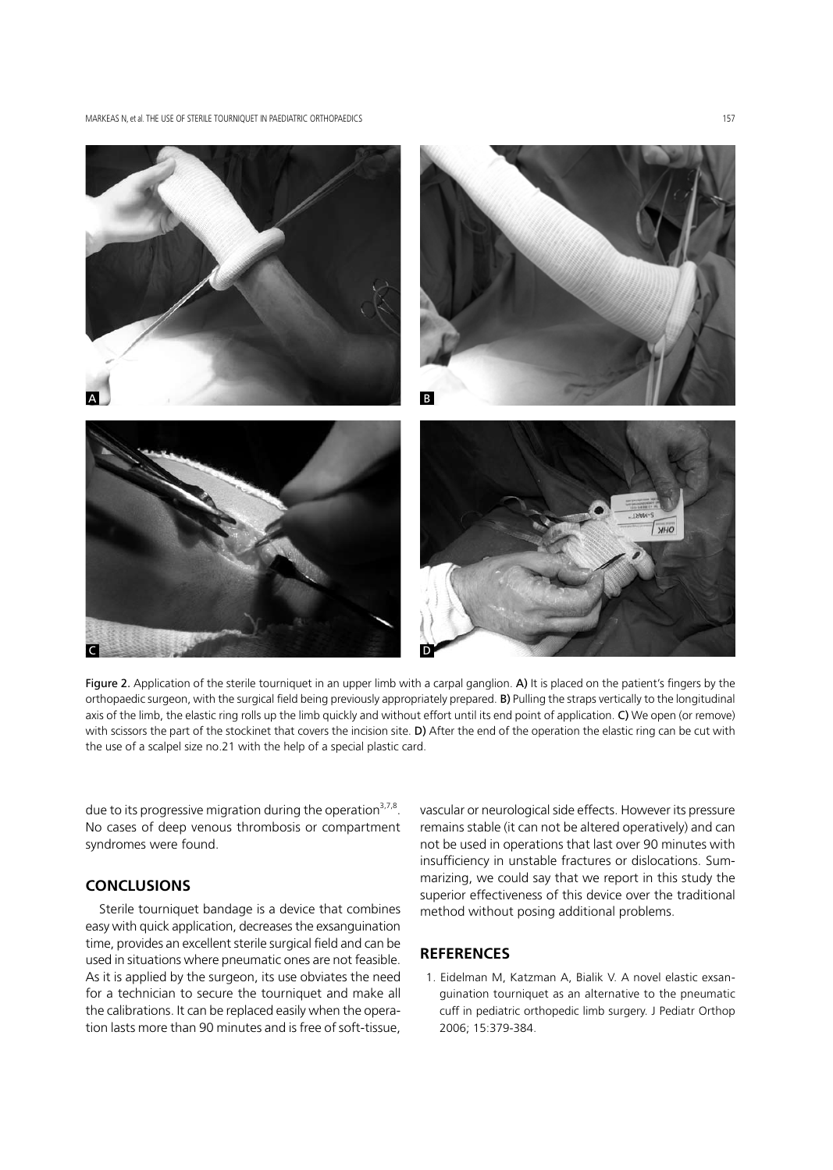MARKEAS N, et al. THE LISE OF STERILE TOLIRNIQUET IN PAEDIATRIC ORTHOPAEDICS 157



Figure 2. Application of the sterile tourniquet in an upper limb with a carpal ganglion. A) It is placed on the patient's fingers by the orthopaedic surgeon, with the surgical field being previously appropriately prepared. B) Pulling the straps vertically to the longitudinal axis of the limb, the elastic ring rolls up the limb quickly and without effort until its end point of application. C) We open (or remove) with scissors the part of the stockinet that covers the incision site. D) After the end of the operation the elastic ring can be cut with the use of a scalpel size no.21 with the help of a special plastic card.

due to its progressive migration during the operation<sup>3,7,8</sup>. No cases of deep venous thrombosis or compartment syndromes were found.

# **CONCLUSIONS**

Sterile tourniquet bandage is a device that combines easy with quick application, decreases the exsanguination time, provides an excellent sterile surgical field and can be used in situations where pneumatic ones are not feasible. As it is applied by the surgeon, its use obviates the need for a technician to secure the tourniquet and make all the calibrations. It can be replaced easily when the operation lasts more than 90 minutes and is free of soft-tissue,

vascular or neurological side effects. However its pressure remains stable (it can not be altered operatively) and can not be used in operations that last over 90 minutes with insufficiency in unstable fractures or dislocations. Summarizing, we could say that we report in this study the superior effectiveness of this device over the traditional method without posing additional problems.

# **REFERENCES**

1. Eidelman M, Katzman A, Bialik V. A novel elastic exsanguination tourniquet as an alternative to the pneumatic cuff in pediatric orthopedic limb surgery. J Pediatr Orthop 2006; 15:379-384.